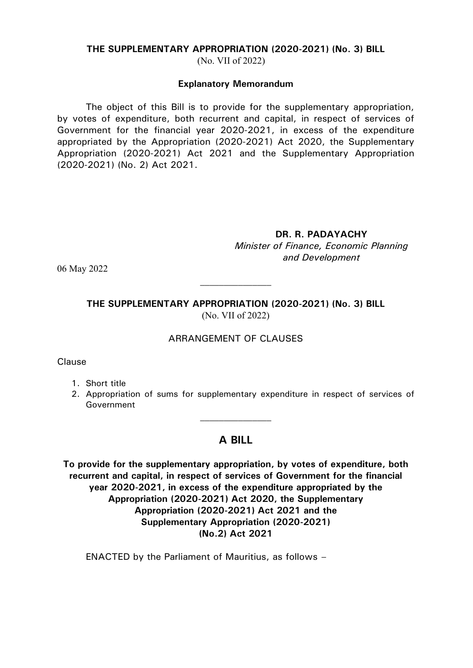#### **THE SUPPLEMENTARY APPROPRIATION (2020-2021) (No. 3) BILL**

(No. VII of 2022)

#### **Explanatory Memorandum**

The object of this Bill is to provide for the supplementary appropriation, by votes of expenditure, both recurrent and capital, in respect of services of Government for the financial year 2020-2021, in excess of the expenditure appropriated by the Appropriation (2020-2021) Act 2020, the Supplementary Appropriation (2020-2021) Act 2021 and the Supplementary Appropriation (2020-2021) (No. 2) Act 2021.

**DR. R. PADAYACHY**

*Minister of Finance, Economic Planning and Development*

06 May 2022

**THE SUPPLEMENTARY APPROPRIATION (2020-2021) (No. 3) BILL** (No. VII of 2022)

 $\mathcal{L}_\text{max}$ 

#### ARRANGEMENT OF CLAUSES

Clause

1. Short title

2. Appropriation of sums for supplementary expenditure in respect of services of Government

### **A BILL**

**To provide for the supplementary appropriation, by votes of expenditure, both recurrent and capital, in respect of services of Government for the financial year 2020-2021, in excess of the expenditure appropriated by the Appropriation (2020-2021) Act 2020, the Supplementary Appropriation (2020-2021) Act 2021 and the Supplementary Appropriation (2020-2021) (No.2) Act 2021**

ENACTED by the Parliament of Mauritius, as follows –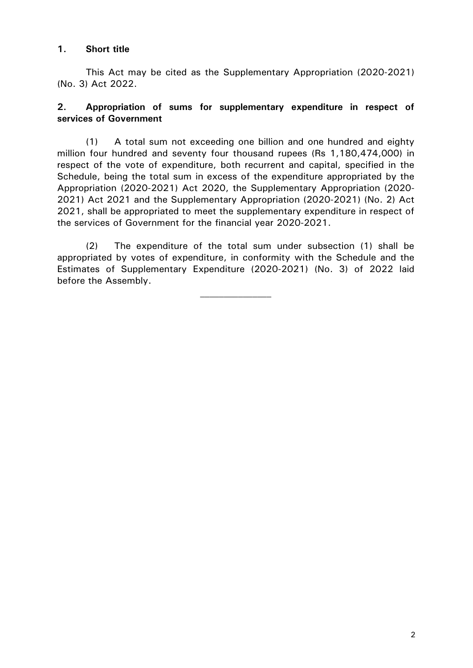### **1. Short title**

This Act may be cited as the Supplementary Appropriation (2020-2021) (No. 3) Act 2022.

## **2. Appropriation of sums for supplementary expenditure in respect of services of Government**

(1) A total sum not exceeding one billion and one hundred and eighty million four hundred and seventy four thousand rupees (Rs 1,180,474,000) in respect of the vote of expenditure, both recurrent and capital, specified in the Schedule, being the total sum in excess of the expenditure appropriated by the Appropriation (2020-2021) Act 2020, the Supplementary Appropriation (2020- 2021) Act 2021 and the Supplementary Appropriation (2020-2021) (No. 2) Act 2021, shall be appropriated to meet the supplementary expenditure in respect of the services of Government for the financial year 2020-2021.

(2) The expenditure of the total sum under subsection (1) shall be appropriated by votes of expenditure, in conformity with the Schedule and the Estimates of Supplementary Expenditure (2020-2021) (No. 3) of 2022 laid before the Assembly.

 $\mathcal{L}_\text{max}$